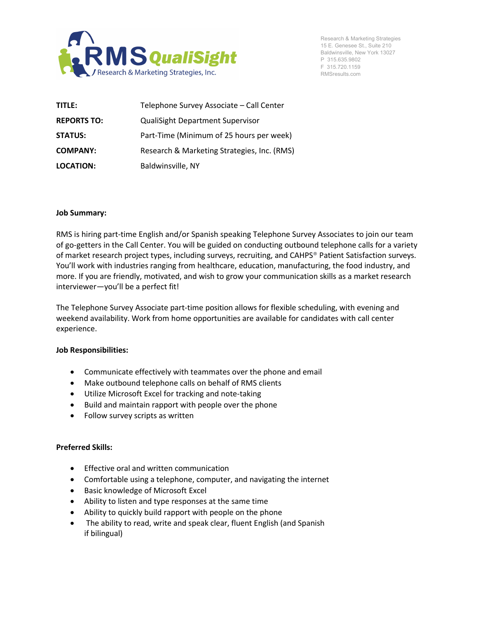

Research & Marketing Strategies 15 E. Genesee St., Suite 210 Baldwinsville, New York 13027 P 315.635.9802 F 315.720.1159 RMSresults.com

| TITLE:             | Telephone Survey Associate - Call Center    |
|--------------------|---------------------------------------------|
| <b>REPORTS TO:</b> | <b>QualiSight Department Supervisor</b>     |
| <b>STATUS:</b>     | Part-Time (Minimum of 25 hours per week)    |
| <b>COMPANY:</b>    | Research & Marketing Strategies, Inc. (RMS) |
| <b>LOCATION:</b>   | Baldwinsville, NY                           |

## **Job Summary:**

RMS is hiring part-time English and/or Spanish speaking Telephone Survey Associates to join our team of go-getters in the Call Center. You will be guided on conducting outbound telephone calls for a variety of market research project types, including surveys, recruiting, and CAHPS® Patient Satisfaction surveys. You'll work with industries ranging from healthcare, education, manufacturing, the food industry, and more. If you are friendly, motivated, and wish to grow your communication skills as a market research interviewer—you'll be a perfect fit!

The Telephone Survey Associate part-time position allows for flexible scheduling, with evening and weekend availability. Work from home opportunities are available for candidates with call center experience.

## **Job Responsibilities:**

- Communicate effectively with teammates over the phone and email
- Make outbound telephone calls on behalf of RMS clients
- Utilize Microsoft Excel for tracking and note-taking
- Build and maintain rapport with people over the phone
- Follow survey scripts as written

## **Preferred Skills:**

- Effective oral and written communication
- Comfortable using a telephone, computer, and navigating the internet
- Basic knowledge of Microsoft Excel
- Ability to listen and type responses at the same time
- Ability to quickly build rapport with people on the phone
- The ability to read, write and speak clear, fluent English (and Spanish if bilingual)